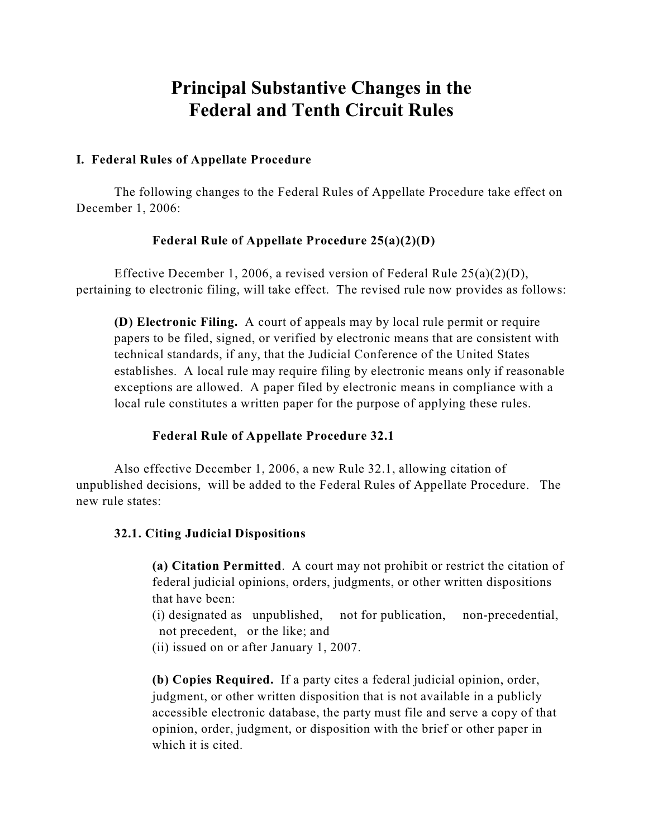# **Principal Substantive Changes in the Federal and Tenth Circuit Rules**

# **I. Federal Rules of Appellate Procedure**

The following changes to the Federal Rules of Appellate Procedure take effect on December 1, 2006:

# **Federal Rule of Appellate Procedure 25(a)(2)(D)**

Effective December 1, 2006, a revised version of Federal Rule 25(a)(2)(D), pertaining to electronic filing, will take effect. The revised rule now provides as follows:

**(D) Electronic Filing.** A court of appeals may by local rule permit or require papers to be filed, signed, or verified by electronic means that are consistent with technical standards, if any, that the Judicial Conference of the United States establishes. A local rule may require filing by electronic means only if reasonable exceptions are allowed. A paper filed by electronic means in compliance with a local rule constitutes a written paper for the purpose of applying these rules.

# **Federal Rule of Appellate Procedure 32.1**

Also effective December 1, 2006, a new Rule 32.1, allowing citation of unpublished decisions, will be added to the Federal Rules of Appellate Procedure. The new rule states:

#### **32.1. Citing Judicial Dispositions**

**(a) Citation Permitted**. A court may not prohibit or restrict the citation of federal judicial opinions, orders, judgments, or other written dispositions that have been:

(i) designated as unpublished, not for publication, non-precedential, not precedent, or the like; and

(ii) issued on or after January 1, 2007.

**(b) Copies Required.** If a party cites a federal judicial opinion, order, judgment, or other written disposition that is not available in a publicly accessible electronic database, the party must file and serve a copy of that opinion, order, judgment, or disposition with the brief or other paper in which it is cited.